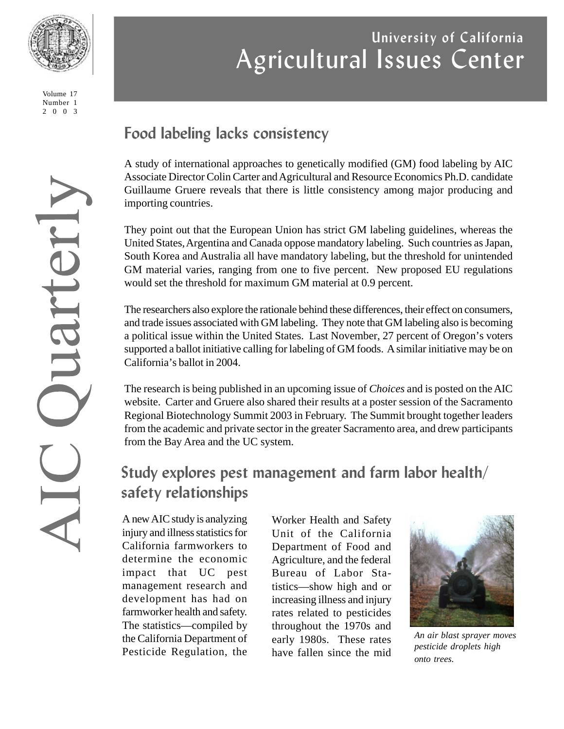

Volume 17 Number 1 2003

# Juarterly

# **University of California** Agricultural Issues Center

# **Food labeling lacks consistency**

A study of international approaches to genetically modified (GM) food labeling by AIC Associate Director Colin Carter and Agricultural and Resource Economics Ph.D. candidate Guillaume Gruere reveals that there is little consistency among major producing and importing countries.

They point out that the European Union has strict GM labeling guidelines, whereas the United States, Argentina and Canada oppose mandatory labeling. Such countries as Japan, South Korea and Australia all have mandatory labeling, but the threshold for unintended GM material varies, ranging from one to five percent. New proposed EU regulations would set the threshold for maximum GM material at 0.9 percent.

The researchers also explore the rationale behind these differences, their effect on consumers, and trade issues associated with GM labeling. They note that GM labeling also is becoming a political issue within the United States. Last November, 27 percent of Oregon's voters supported a ballot initiative calling for labeling of GM foods. A similar initiative may be on California's ballot in 2004.

The research is being published in an upcoming issue of *Choices* and is posted on the AIC website. Carter and Gruere also shared their results at a poster session of the Sacramento Regional Biotechnology Summit 2003 in February. The Summit brought together leaders from the academic and private sector in the greater Sacramento area, and drew participants from the Bay Area and the UC system.

# **Study explores pest management and farm labor health/ safety relationships**

A new AIC study is analyzing injury and illness statistics for California farmworkers to determine the economic impact that UC pest management research and development has had on farmworker health and safety. The statistics—compiled by the California Department of Pesticide Regulation, the

Worker Health and Safety Unit of the California Department of Food and Agriculture, and the federal Bureau of Labor Statistics—show high and or increasing illness and injury rates related to pesticides throughout the 1970s and early 1980s. These rates have fallen since the mid



*An air blast sprayer moves pesticide droplets high onto trees.*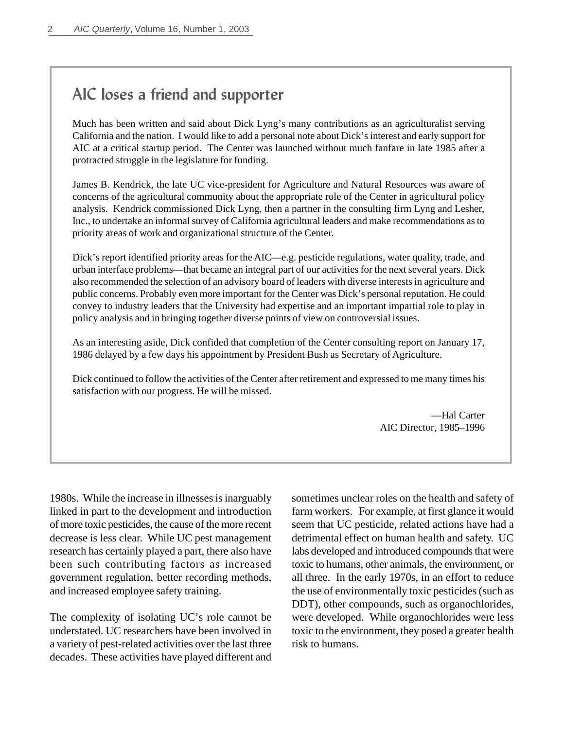# **AIC loses a friend and supporter**

Much has been written and said about Dick Lyng's many contributions as an agriculturalist serving California and the nation. I would like to add a personal note about Dick's interest and early support for AIC at a critical startup period. The Center was launched without much fanfare in late 1985 after a protracted struggle in the legislature for funding.

James B. Kendrick, the late UC vice-president for Agriculture and Natural Resources was aware of concerns of the agricultural community about the appropriate role of the Center in agricultural policy analysis. Kendrick commissioned Dick Lyng, then a partner in the consulting firm Lyng and Lesher, Inc., to undertake an informal survey of California agricultural leaders and make recommendations as to priority areas of work and organizational structure of the Center.

Dick's report identified priority areas for the AIC—e.g. pesticide regulations, water quality, trade, and urban interface problems—that became an integral part of our activities for the next several years. Dick also recommended the selection of an advisory board of leaders with diverse interests in agriculture and public concerns. Probably even more important for the Center was Dick's personal reputation. He could convey to industry leaders that the University had expertise and an important impartial role to play in policy analysis and in bringing together diverse points of view on controversial issues.

As an interesting aside, Dick confided that completion of the Center consulting report on January 17, 1986 delayed by a few days his appointment by President Bush as Secretary of Agriculture.

Dick continued to follow the activities of the Center after retirement and expressed to me many times his satisfaction with our progress. He will be missed.

> —Hal Carter AIC Director, 1985–1996

1980s. While the increase in illnesses is inarguably linked in part to the development and introduction of more toxic pesticides, the cause of the more recent decrease is less clear. While UC pest management research has certainly played a part, there also have been such contributing factors as increased government regulation, better recording methods, and increased employee safety training.

The complexity of isolating UC's role cannot be understated. UC researchers have been involved in a variety of pest-related activities over the last three decades. These activities have played different and sometimes unclear roles on the health and safety of farm workers. For example, at first glance it would seem that UC pesticide, related actions have had a detrimental effect on human health and safety. UC labs developed and introduced compounds that were toxic to humans, other animals, the environment, or all three. In the early 1970s, in an effort to reduce the use of environmentally toxic pesticides (such as DDT), other compounds, such as organochlorides, were developed. While organochlorides were less toxic to the environment, they posed a greater health risk to humans.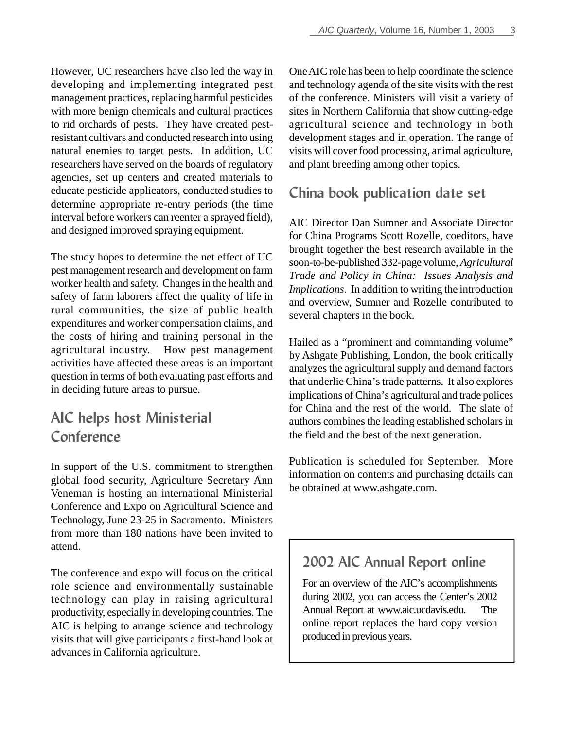However, UC researchers have also led the way in developing and implementing integrated pest management practices, replacing harmful pesticides with more benign chemicals and cultural practices to rid orchards of pests. They have created pestresistant cultivars and conducted research into using natural enemies to target pests. In addition, UC researchers have served on the boards of regulatory agencies, set up centers and created materials to educate pesticide applicators, conducted studies to determine appropriate re-entry periods (the time interval before workers can reenter a sprayed field), and designed improved spraying equipment.

The study hopes to determine the net effect of UC pest management research and development on farm worker health and safety. Changes in the health and safety of farm laborers affect the quality of life in rural communities, the size of public health expenditures and worker compensation claims, and the costs of hiring and training personal in the agricultural industry. How pest management activities have affected these areas is an important question in terms of both evaluating past efforts and in deciding future areas to pursue.

# **AIC helps host Ministerial Conference**

In support of the U.S. commitment to strengthen global food security, Agriculture Secretary Ann Veneman is hosting an international Ministerial Conference and Expo on Agricultural Science and Technology, June 23-25 in Sacramento. Ministers from more than 180 nations have been invited to attend.

The conference and expo will focus on the critical role science and environmentally sustainable technology can play in raising agricultural productivity, especially in developing countries. The AIC is helping to arrange science and technology visits that will give participants a first-hand look at advances in California agriculture.

One AIC role has been to help coordinate the science and technology agenda of the site visits with the rest of the conference. Ministers will visit a variety of sites in Northern California that show cutting-edge agricultural science and technology in both development stages and in operation. The range of visits will cover food processing, animal agriculture, and plant breeding among other topics.

### **China book publication date set**

AIC Director Dan Sumner and Associate Director for China Programs Scott Rozelle, coeditors, have brought together the best research available in the soon-to-be-published 332-page volume, *Agricultural Trade and Policy in China: Issues Analysis and Implications*. In addition to writing the introduction and overview, Sumner and Rozelle contributed to several chapters in the book.

Hailed as a "prominent and commanding volume" by Ashgate Publishing, London, the book critically analyzes the agricultural supply and demand factors that underlie China's trade patterns. It also explores implications of China's agricultural and trade polices for China and the rest of the world. The slate of authors combines the leading established scholars in the field and the best of the next generation.

Publication is scheduled for September. More information on contents and purchasing details can be obtained at www.ashgate.com.

### **2002 AIC Annual Report online**

For an overview of the AIC's accomplishments during 2002, you can access the Center's 2002 Annual Report at www.aic.ucdavis.edu. The online report replaces the hard copy version produced in previous years.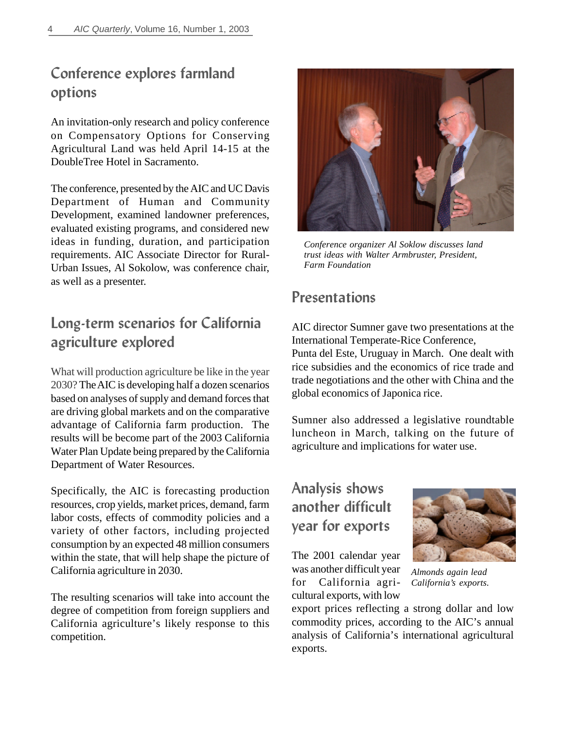### **Conference explores farmland options**

An invitation-only research and policy conference on Compensatory Options for Conserving Agricultural Land was held April 14-15 at the DoubleTree Hotel in Sacramento.

The conference, presented by the AIC and UC Davis Department of Human and Community Development, examined landowner preferences, evaluated existing programs, and considered new ideas in funding, duration, and participation requirements. AIC Associate Director for Rural-Urban Issues, Al Sokolow, was conference chair, as well as a presenter.

### **Long-term scenarios for California agriculture explored**

What will production agriculture be like in the year 2030? The AIC is developing half a dozen scenarios based on analyses of supply and demand forces that are driving global markets and on the comparative advantage of California farm production. The results will be become part of the 2003 California Water Plan Update being prepared by the California Department of Water Resources.

Specifically, the AIC is forecasting production resources, crop yields, market prices, demand, farm labor costs, effects of commodity policies and a variety of other factors, including projected consumption by an expected 48 million consumers within the state, that will help shape the picture of California agriculture in 2030.

The resulting scenarios will take into account the degree of competition from foreign suppliers and California agriculture's likely response to this competition.



*Conference organizer Al Soklow discusses land trust ideas with Walter Armbruster, President, Farm Foundation*

### **Presentations**

AIC director Sumner gave two presentations at the International Temperate-Rice Conference,

Punta del Este, Uruguay in March. One dealt with rice subsidies and the economics of rice trade and trade negotiations and the other with China and the global economics of Japonica rice.

Sumner also addressed a legislative roundtable luncheon in March, talking on the future of agriculture and implications for water use.

# **Analysis shows another difficult year for exports**

The 2001 calendar year was another difficult year for California agricultural exports, with low



*Almonds again lead California's exports*.

export prices reflecting a strong dollar and low commodity prices, according to the AIC's annual analysis of California's international agricultural exports.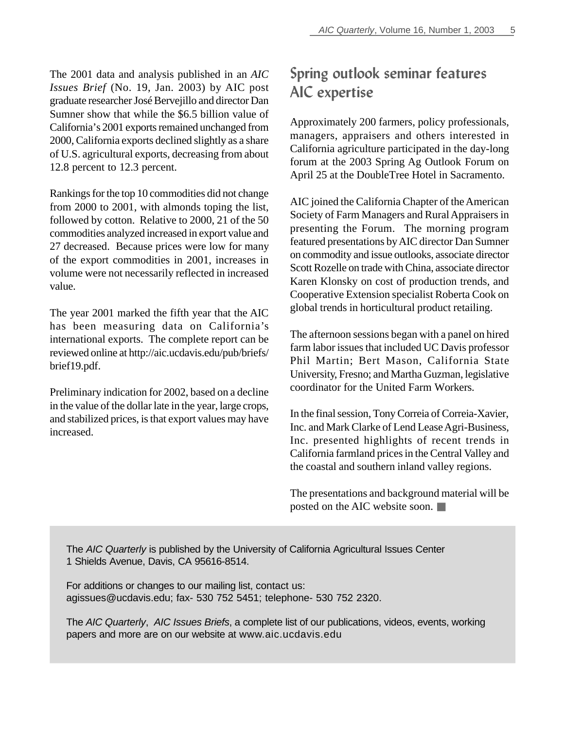The 2001 data and analysis published in an *AIC Issues Brief* (No. 19, Jan. 2003) by AIC post graduate researcher José Bervejillo and director Dan Sumner show that while the \$6.5 billion value of California's 2001 exports remained unchanged from 2000, California exports declined slightly as a share of U.S. agricultural exports, decreasing from about 12.8 percent to 12.3 percent.

Rankings for the top 10 commodities did not change from 2000 to 2001, with almonds toping the list, followed by cotton. Relative to 2000, 21 of the 50 commodities analyzed increased in export value and 27 decreased. Because prices were low for many of the export commodities in 2001, increases in volume were not necessarily reflected in increased value.

The year 2001 marked the fifth year that the AIC has been measuring data on California's international exports. The complete report can be reviewed online at http://aic.ucdavis.edu/pub/briefs/ brief19.pdf.

Preliminary indication for 2002, based on a decline in the value of the dollar late in the year, large crops, and stabilized prices, is that export values may have increased.

# **Spring outlook seminar features AIC expertise**

Approximately 200 farmers, policy professionals, managers, appraisers and others interested in California agriculture participated in the day-long forum at the 2003 Spring Ag Outlook Forum on April 25 at the DoubleTree Hotel in Sacramento.

AIC joined the California Chapter of the American Society of Farm Managers and Rural Appraisers in presenting the Forum. The morning program featured presentations by AIC director Dan Sumner on commodity and issue outlooks, associate director Scott Rozelle on trade with China, associate director Karen Klonsky on cost of production trends, and Cooperative Extension specialist Roberta Cook on global trends in horticultural product retailing.

The afternoon sessions began with a panel on hired farm labor issues that included UC Davis professor Phil Martin; Bert Mason, California State University, Fresno; and Martha Guzman, legislative coordinator for the United Farm Workers.

In the final session, Tony Correia of Correia-Xavier, Inc. and Mark Clarke of Lend Lease Agri-Business, Inc. presented highlights of recent trends in California farmland prices in the Central Valley and the coastal and southern inland valley regions.

The presentations and background material will be posted on the AIC website soon. ■

The *AIC Quarterly* is published by the University of California Agricultural Issues Center 1 Shields Avenue, Davis, CA 95616-8514.

For additions or changes to our mailing list, contact us: agissues@ucdavis.edu; fax- 530 752 5451; telephone- 530 752 2320.

The *AIC Quarterly*, *AIC Issues Briefs*, a complete list of our publications, videos, events, working papers and more are on our website at www.aic.ucdavis.edu